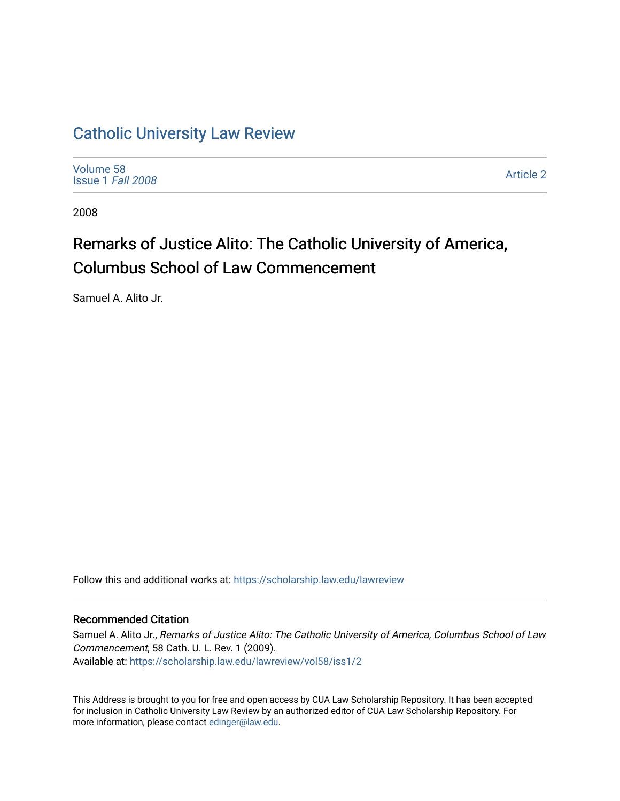## [Catholic University Law Review](https://scholarship.law.edu/lawreview)

[Volume 58](https://scholarship.law.edu/lawreview/vol58) [Issue 1](https://scholarship.law.edu/lawreview/vol58/iss1) Fall 2008

[Article 2](https://scholarship.law.edu/lawreview/vol58/iss1/2) 

2008

# Remarks of Justice Alito: The Catholic University of America, Columbus School of Law Commencement

Samuel A. Alito Jr.

Follow this and additional works at: [https://scholarship.law.edu/lawreview](https://scholarship.law.edu/lawreview?utm_source=scholarship.law.edu%2Flawreview%2Fvol58%2Fiss1%2F2&utm_medium=PDF&utm_campaign=PDFCoverPages)

#### Recommended Citation

Samuel A. Alito Jr., Remarks of Justice Alito: The Catholic University of America, Columbus School of Law Commencement, 58 Cath. U. L. Rev. 1 (2009). Available at: [https://scholarship.law.edu/lawreview/vol58/iss1/2](https://scholarship.law.edu/lawreview/vol58/iss1/2?utm_source=scholarship.law.edu%2Flawreview%2Fvol58%2Fiss1%2F2&utm_medium=PDF&utm_campaign=PDFCoverPages)

This Address is brought to you for free and open access by CUA Law Scholarship Repository. It has been accepted for inclusion in Catholic University Law Review by an authorized editor of CUA Law Scholarship Repository. For more information, please contact [edinger@law.edu.](mailto:edinger@law.edu)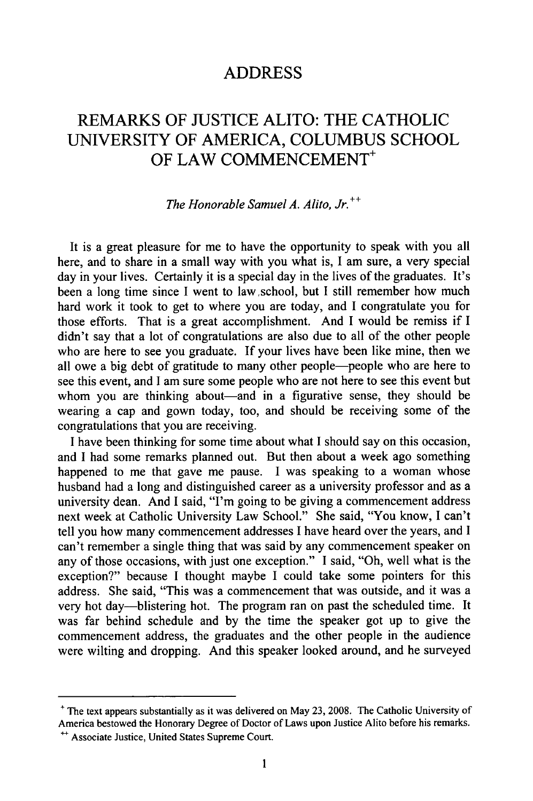#### **ADDRESS**

### REMARKS OF JUSTICE ALITO: THE CATHOLIC UNIVERSITY OF AMERICA, COLUMBUS SCHOOL OF LAW COMMENCEMENT<sup>+</sup>

#### *The Honorable Samuel A. Alito, Jr.++*

It is a great pleasure for me to have the opportunity to speak with you all here, and to share in a small way with you what is, **I** am sure, a very special day in your lives. Certainly it is a special day in the lives of the graduates. It's been a long time since I went to law school, but I still remember how much hard work it took to get to where you are today, and I congratulate you for those efforts. That is a great accomplishment. And I would be remiss if I didn't say that a lot of congratulations are also due to all of the other people who are here to see you graduate. If your lives have been like mine, then we all owe a big debt of gratitude to many other people-people who are here to see this event, and I am sure some people who are not here to see this event but whom you are thinking about—and in a figurative sense, they should be wearing a cap and gown today, too, and should be receiving some of the congratulations that you are receiving.

I have been thinking for some time about what I should say on this occasion, and I had some remarks planned out. But then about a week ago something happened to me that gave me pause. I was speaking to a woman whose husband had a long and distinguished career as a university professor and as a university dean. And I said, "I'm going to be giving a commencement address next week at Catholic University Law School." She said, "You know, I can't tell you how many commencement addresses I have heard over the years, and I can't remember a single thing that was said by any commencement speaker on any of those occasions, with just one exception." I said, "Oh, well what is the exception?" because I thought maybe I could take some pointers for this address. She said, "This was a commencement that was outside, and it was a very hot day-blistering hot. The program ran on past the scheduled time. It was far behind schedule and by the time the speaker got up to give the commencement address, the graduates and the other people in the audience were wilting and dropping. And this speaker looked around, and he surveyed

**<sup>+</sup>** The text appears substantially as it was delivered on May 23, **2008.** The Catholic University of America bestowed the Honorary Degree of Doctor of Laws upon Justice Alito before his remarks.

<sup>&</sup>lt;sup>++</sup> Associate Justice, United States Supreme Court.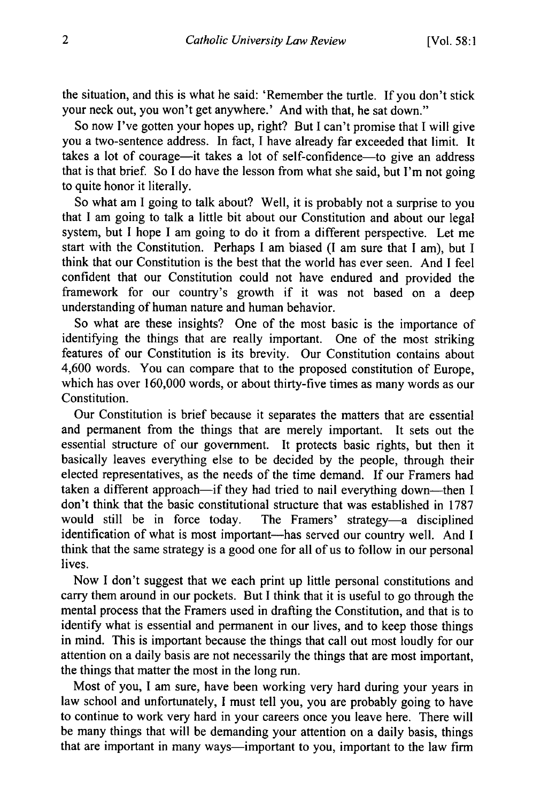the situation, and this is what he said: 'Remember the turtle. If you don't stick your neck out, you won't get anywhere.' And with that, he sat down."

So now I've gotten your hopes up, right? But I can't promise that I will give you a two-sentence address. In fact, I have already far exceeded that limit. It takes a lot of courage-it takes a lot of self-confidence-to give an address that is that brief. So I do have the lesson from what she said, but I'm not going to quite honor it literally.

So what am I going to talk about? Well, it is probably not a surprise to you that I am going to talk a little bit about our Constitution and about our legal system, but I hope I am going to do it from a different perspective. Let me start with the Constitution. Perhaps I am biased (I am sure that I am), but I think that our Constitution is the best that the world has ever seen. And I feel confident that our Constitution could not have endured and provided the framework for our country's growth if it was not based on a deep understanding of human nature and human behavior.

So what are these insights? One of the most basic is the importance of identifying the things that are really important. One of the most striking features of our Constitution is its brevity. Our Constitution contains about 4,600 words. You can compare that to the proposed constitution of Europe, which has over 160,000 words, or about thirty-five times as many words as our Constitution.

Our Constitution is brief because it separates the matters that are essential and permanent from the things that are merely important. It sets out the essential structure of our government. It protects basic rights, but then it basically leaves everything else to be decided by the people, through their elected representatives, as the needs of the time demand. If our Framers had taken a different approach-if they had tried to nail everything down-then I don't think that the basic constitutional structure that was established in 1787 would still be in force today. The Framers' strategy—a disciplined identification of what is most important-has served our country well. And I think that the same strategy is a good one for all of us to follow in our personal lives.

Now I don't suggest that we each print up little personal constitutions and carry them around in our pockets. But I think that it is useful to go through the mental process that the Framers used in drafting the Constitution, and that is to identify what is essential and permanent in our lives, and to keep those things in mind. This is important because the things that call out most loudly for our attention on a daily basis are not necessarily the things that are most important, the things that matter the most in the long run.

Most of you, I am sure, have been working very hard during your years in law school and unfortunately, I must tell you, you are probably going to have to continue to work very hard in your careers once you leave here. There will be many things that will be demanding your attention on a daily basis, things that are important in many ways-important to you, important to the law firm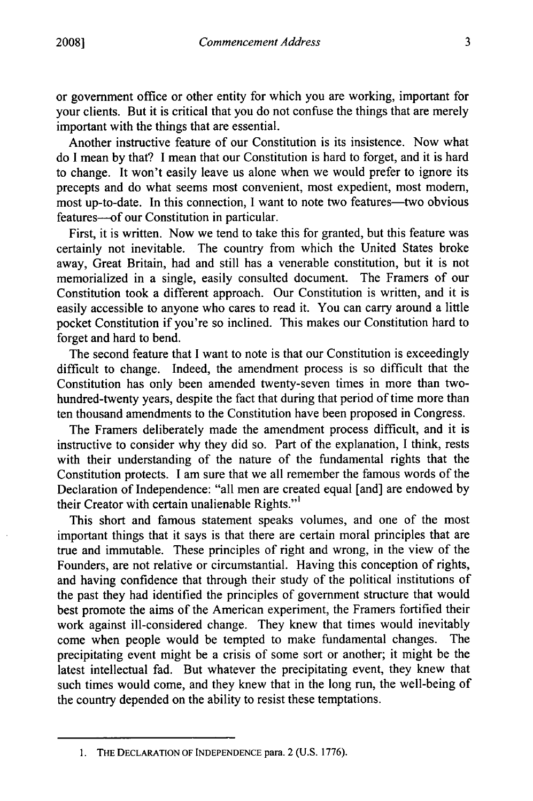or government office or other entity for which you are working, important for your clients. But it is critical that you do not confuse the things that are merely important with the things that are essential.

Another instructive feature of our Constitution is its insistence. Now what do I mean by that? I mean that our Constitution is hard to forget, and it is hard to change. It won't easily leave us alone when we would prefer to ignore its precepts and do what seems most convenient, most expedient, most modem, most up-to-date. In this connection, I want to note two features—two obvious features-of our Constitution in particular.

First, it is written. Now we tend to take this for granted, but this feature was certainly not inevitable. The country from which the United States broke away, Great Britain, had and still has a venerable constitution, but it is not memorialized in a single, easily consulted document. The Framers of our Constitution took a different approach. Our Constitution is written, and it is easily accessible to anyone who cares to read it. You can carry around a little pocket Constitution if you're so inclined. This makes our Constitution hard to forget and hard to bend.

The second feature that I want to note is that our Constitution is exceedingly difficult to change. Indeed, the amendment process is so difficult that the Constitution has only been amended twenty-seven times in more than twohundred-twenty years, despite the fact that during that period of time more than ten thousand amendments to the Constitution have been proposed in Congress.

The Framers deliberately made the amendment process difficult, and it is instructive to consider why they did so. Part of the explanation, I think, rests with their understanding of the nature of the fundamental rights that the Constitution protects. I am sure that we all remember the famous words of the Declaration of Independence: "all men are created equal [and] are endowed by their Creator with certain unalienable Rights."'

This short and famous statement speaks volumes, and one of the most important things that it says is that there are certain moral principles that are true and immutable. These principles of right and wrong, in the view of the Founders, are not relative or circumstantial. Having this conception of rights, and having confidence that through their study of the political institutions of the past they had identified the principles of government structure that would best promote the aims of the American experiment, the Framers fortified their work against ill-considered change. They knew that times would inevitably come when people would be tempted to make fundamental changes. The precipitating event might be a crisis of some sort or another; it might be the latest intellectual fad. But whatever the precipitating event, they knew that such times would come, and they knew that in the long run, the well-being of the country depended on the ability to resist these temptations.

<sup>1.</sup> **THE DECLARATION** OF **INDEPENDENCE** para. 2 (U.S. 1776).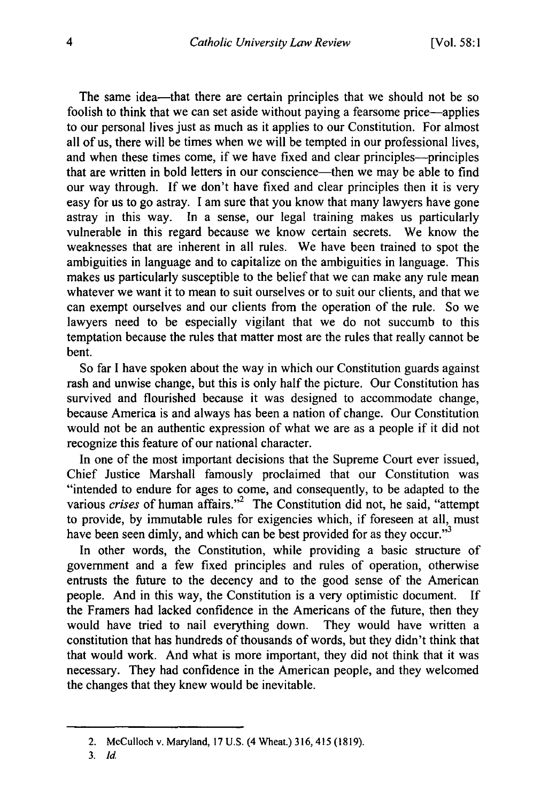The same idea--that there are certain principles that we should not be so foolish to think that we can set aside without paying a fearsome price-applies to our personal lives just as much as it applies to our Constitution. For almost all of us, there will be times when we will be tempted in our professional lives, and when these times come, if we have fixed and clear principles—principles that are written in bold letters in our conscience—then we may be able to find our way through. If we don't have fixed and clear principles then it is very easy for us to go astray. I am sure that you know that many lawyers have gone astray in this way. In a sense, our legal training makes us particularly vulnerable in this regard because we know certain secrets. We know the weaknesses that are inherent in all rules. We have been trained to spot the ambiguities in language and to capitalize on the ambiguities in language. This makes us particularly susceptible to the belief that we can make any rule mean whatever we want it to mean to suit ourselves or to suit our clients, and that we can exempt ourselves and our clients from the operation of the rule. So we lawyers need to be especially vigilant that we do not succumb to this temptation because the rules that matter most are the rules that really cannot be bent.

So far I have spoken about the way in which our Constitution guards against rash and unwise change, but this is only half the picture. Our Constitution has survived and flourished because it was designed to accommodate change, because America is and always has been a nation of change. Our Constitution would not be an authentic expression of what we are as a people if it did not recognize this feature of our national character.

In one of the most important decisions that the Supreme Court ever issued, Chief Justice Marshall famously proclaimed that our Constitution was "intended to endure for ages to come, and consequently, to be adapted to the various *crises* of human affairs."<sup>2</sup> The Constitution did not, he said, "attempt to provide, by immutable rules for exigencies which, if foreseen at all, must have been seen dimly, and which can be best provided for as they occur."<sup>3</sup>

In other words, the Constitution, while providing a basic structure of government and a few fixed principles and rules of operation, otherwise entrusts the future to the decency and to the good sense of the American people. And in this way, the Constitution is a very optimistic document. If the Framers had lacked confidence in the Americans of the future, then they would have tried to nail everything down. They would have written a constitution that has hundreds of thousands of words, but they didn't think that that would work. And what is more important, they did not think that it was necessary. They had confidence in the American people, and they welcomed the changes that they knew would be inevitable.

<sup>2.</sup> McCulloch v. Maryland, 17 U.S. (4 Wheat.) 316, 415 (1819).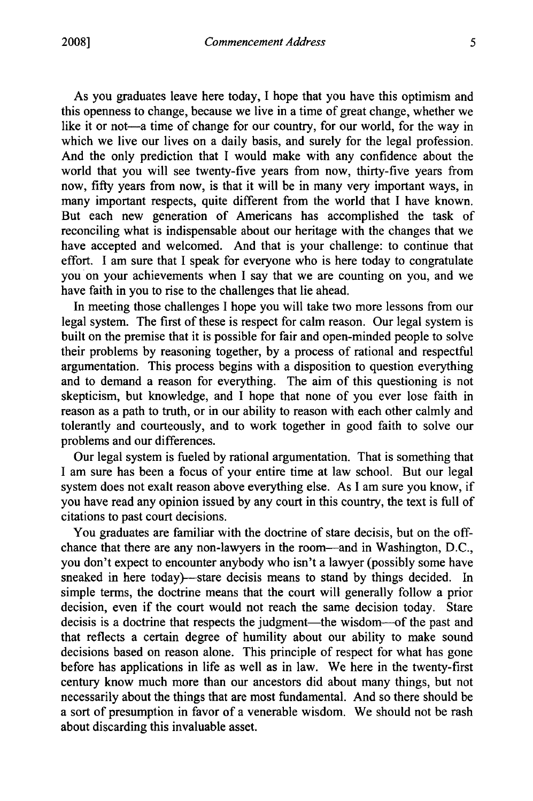As you graduates leave here today, I hope that you have this optimism and this openness to change, because we live in a time of great change, whether we like it or not-a time of change for our country, for our world, for the way in which we live our lives on a daily basis, and surely for the legal profession. And the only prediction that I would make with any confidence about the world that you will see twenty-five years from now, thirty-five years from now, fifty years from now, is that it will be in many very important ways, in many important respects, quite different from the world that I have known. But each new generation of Americans has accomplished the task of reconciling what is indispensable about our heritage with the changes that we have accepted and welcomed. And that is your challenge: to continue that effort. I am sure that I speak for everyone who is here today to congratulate you on your achievements when I say that we are counting on you, and we have faith in you to rise to the challenges that lie ahead.

In meeting those challenges I hope you will take two more lessons from our legal system. The first of these is respect for calm reason. Our legal system is built on the premise that it is possible for fair and open-minded people to solve their problems by reasoning together, by a process of rational and respectful argumentation. This process begins with a disposition to question everything and to demand a reason for everything. The aim of this questioning is not skepticism, but knowledge, and I hope that none of you ever lose faith in reason as a path to truth, or in our ability to reason with each other calmly and tolerantly and courteously, and to work together in good faith to solve our problems and our differences.

Our legal system is fueled by rational argumentation. That is something that I am sure has been a focus of your entire time at law school. But our legal system does not exalt reason above everything else. As I am sure you know, if you have read any opinion issued by any court in this country, the text is full of citations to past court decisions.

You graduates are familiar with the doctrine of stare decisis, but on the offchance that there are any non-lawyers in the room—and in Washington, D.C., you don't expect to encounter anybody who isn't a lawyer (possibly some have sneaked in here today)—stare decisis means to stand by things decided. In simple terms, the doctrine means that the court will generally follow a prior decision, even if the court would not reach the same decision today. Stare decisis is a doctrine that respects the judgment-the wisdom-of the past and that reflects a certain degree of humility about our ability to make sound decisions based on reason alone. This principle of respect for what has gone before has applications in life as well as in law. We here in the twenty-first century know much more than our ancestors did about many things, but not necessarily about the things that are most fundamental. And so there should be a sort of presumption in favor of a venerable wisdom. We should not be rash about discarding this invaluable asset.